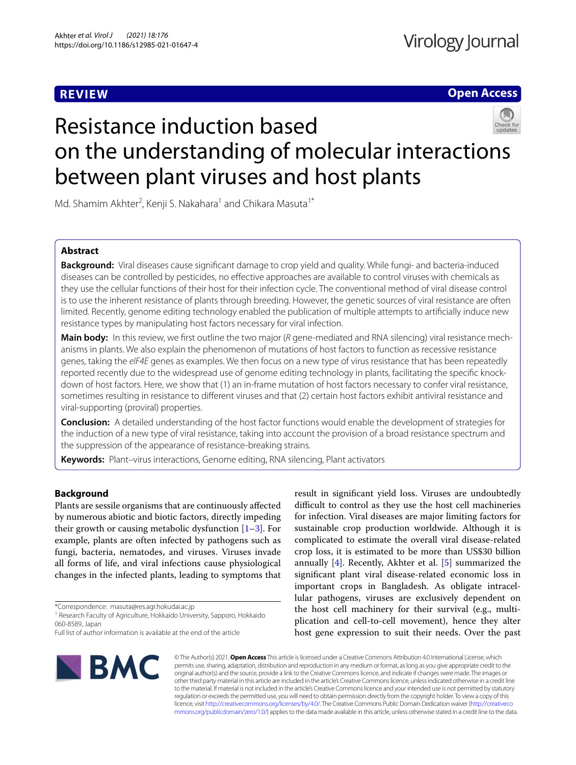# **REVIEW**

# **Open Access**

# Resistance induction based on the understanding of molecular interactions between plant viruses and host plants

Md. Shamim Akhter<sup>2</sup>, Kenji S. Nakahara<sup>1</sup> and Chikara Masuta<sup>1\*</sup>

## **Abstract**

**Background:** Viral diseases cause signifcant damage to crop yield and quality. While fungi- and bacteria-induced diseases can be controlled by pesticides, no efective approaches are available to control viruses with chemicals as they use the cellular functions of their host for their infection cycle. The conventional method of viral disease control is to use the inherent resistance of plants through breeding. However, the genetic sources of viral resistance are often limited. Recently, genome editing technology enabled the publication of multiple attempts to artifcially induce new resistance types by manipulating host factors necessary for viral infection.

**Main body:** In this review, we frst outline the two major (*R* gene-mediated and RNA silencing) viral resistance mechanisms in plants. We also explain the phenomenon of mutations of host factors to function as recessive resistance genes, taking the *eIF4E* genes as examples. We then focus on a new type of virus resistance that has been repeatedly reported recently due to the widespread use of genome editing technology in plants, facilitating the specifc knockdown of host factors. Here, we show that (1) an in-frame mutation of host factors necessary to confer viral resistance, sometimes resulting in resistance to diferent viruses and that (2) certain host factors exhibit antiviral resistance and viral-supporting (proviral) properties.

**Conclusion:** A detailed understanding of the host factor functions would enable the development of strategies for the induction of a new type of viral resistance, taking into account the provision of a broad resistance spectrum and the suppression of the appearance of resistance-breaking strains.

**Keywords:** Plant–virus interactions, Genome editing, RNA silencing, Plant activators

## **Background**

Plants are sessile organisms that are continuously afected by numerous abiotic and biotic factors, directly impeding their growth or causing metabolic dysfunction  $[1-3]$  $[1-3]$ . For example, plants are often infected by pathogens such as fungi, bacteria, nematodes, and viruses. Viruses invade all forms of life, and viral infections cause physiological changes in the infected plants, leading to symptoms that

\*Correspondence: masuta@res.agr.hokudai.ac.jp

<sup>1</sup> Research Faculty of Agriculture, Hokkaido University, Sapporo, Hokkaido 060-8589, Japan

result in signifcant yield loss. Viruses are undoubtedly difficult to control as they use the host cell machineries for infection. Viral diseases are major limiting factors for sustainable crop production worldwide. Although it is complicated to estimate the overall viral disease-related crop loss, it is estimated to be more than US\$30 billion annually [\[4](#page-7-2)]. Recently, Akhter et al. [[5\]](#page-7-3) summarized the signifcant plant viral disease-related economic loss in important crops in Bangladesh. As obligate intracellular pathogens, viruses are exclusively dependent on the host cell machinery for their survival (e.g., multiplication and cell-to-cell movement), hence they alter host gene expression to suit their needs. Over the past



© The Author(s) 2021. **Open Access** This article is licensed under a Creative Commons Attribution 4.0 International License, which permits use, sharing, adaptation, distribution and reproduction in any medium or format, as long as you give appropriate credit to the original author(s) and the source, provide a link to the Creative Commons licence, and indicate if changes were made. The images or other third party material in this article are included in the article's Creative Commons licence, unless indicated otherwise in a credit line to the material. If material is not included in the article's Creative Commons licence and your intended use is not permitted by statutory regulation or exceeds the permitted use, you will need to obtain permission directly from the copyright holder. To view a copy of this licence, visit [http://creativecommons.org/licenses/by/4.0/.](http://creativecommons.org/licenses/by/4.0/) The Creative Commons Public Domain Dedication waiver ([http://creativeco](http://creativecommons.org/publicdomain/zero/1.0/) [mmons.org/publicdomain/zero/1.0/](http://creativecommons.org/publicdomain/zero/1.0/)) applies to the data made available in this article, unless otherwise stated in a credit line to the data.

Full list of author information is available at the end of the article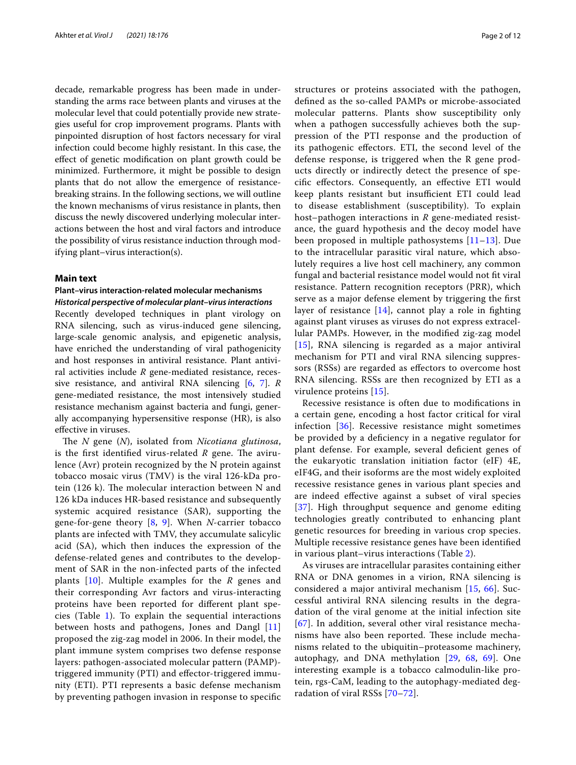decade, remarkable progress has been made in understanding the arms race between plants and viruses at the molecular level that could potentially provide new strategies useful for crop improvement programs. Plants with pinpointed disruption of host factors necessary for viral infection could become highly resistant. In this case, the efect of genetic modifcation on plant growth could be minimized. Furthermore, it might be possible to design plants that do not allow the emergence of resistancebreaking strains. In the following sections, we will outline the known mechanisms of virus resistance in plants, then discuss the newly discovered underlying molecular interactions between the host and viral factors and introduce the possibility of virus resistance induction through modifying plant–virus interaction(s).

#### **Main text**

## **Plant–virus interaction‑related molecular mechanisms** *Historical perspective of molecular plant–virus interactions*

Recently developed techniques in plant virology on RNA silencing, such as virus-induced gene silencing, large-scale genomic analysis, and epigenetic analysis, have enriched the understanding of viral pathogenicity and host responses in antiviral resistance. Plant antiviral activities include *R* gene-mediated resistance, recessive resistance, and antiviral RNA silencing [\[6](#page-7-4), [7\]](#page-7-5). *R* gene-mediated resistance, the most intensively studied resistance mechanism against bacteria and fungi, generally accompanying hypersensitive response (HR), is also efective in viruses.

The *N* gene (*N*), isolated from *Nicotiana glutinosa*, is the first identified virus-related  $R$  gene. The avirulence (Avr) protein recognized by the N protein against tobacco mosaic virus (TMV) is the viral 126-kDa protein (126 k). The molecular interaction between  $N$  and 126 kDa induces HR-based resistance and subsequently systemic acquired resistance (SAR), supporting the gene-for-gene theory [[8,](#page-7-6) [9\]](#page-7-7). When *N*-carrier tobacco plants are infected with TMV, they accumulate salicylic acid (SA), which then induces the expression of the defense-related genes and contributes to the development of SAR in the non-infected parts of the infected plants [[10](#page-7-8)]. Multiple examples for the *R* genes and their corresponding Avr factors and virus-interacting proteins have been reported for diferent plant species (Table  $1$ ). To explain the sequential interactions between hosts and pathogens, Jones and Dangl [\[11](#page-7-9)] proposed the zig-zag model in 2006. In their model, the plant immune system comprises two defense response layers: pathogen-associated molecular pattern (PAMP) triggered immunity (PTI) and efector-triggered immunity (ETI). PTI represents a basic defense mechanism by preventing pathogen invasion in response to specifc structures or proteins associated with the pathogen, defned as the so-called PAMPs or microbe-associated molecular patterns. Plants show susceptibility only when a pathogen successfully achieves both the suppression of the PTI response and the production of its pathogenic efectors. ETI, the second level of the defense response, is triggered when the R gene products directly or indirectly detect the presence of specifc efectors. Consequently, an efective ETI would keep plants resistant but insufficient ETI could lead to disease establishment (susceptibility). To explain host–pathogen interactions in *R* gene-mediated resistance, the guard hypothesis and the decoy model have been proposed in multiple pathosystems [[11–](#page-7-9)[13](#page-7-10)]. Due to the intracellular parasitic viral nature, which absolutely requires a live host cell machinery, any common fungal and bacterial resistance model would not ft viral resistance. Pattern recognition receptors (PRR), which serve as a major defense element by triggering the frst layer of resistance  $[14]$  $[14]$ , cannot play a role in fighting against plant viruses as viruses do not express extracellular PAMPs. However, in the modifed zig-zag model [[15](#page-7-12)], RNA silencing is regarded as a major antiviral mechanism for PTI and viral RNA silencing suppressors (RSSs) are regarded as efectors to overcome host RNA silencing. RSSs are then recognized by ETI as a virulence proteins [[15\]](#page-7-12).

Recessive resistance is often due to modifcations in a certain gene, encoding a host factor critical for viral infection [[36\]](#page-8-0). Recessive resistance might sometimes be provided by a defciency in a negative regulator for plant defense. For example, several defcient genes of the eukaryotic translation initiation factor (eIF) 4E, eIF4G, and their isoforms are the most widely exploited recessive resistance genes in various plant species and are indeed efective against a subset of viral species [[37](#page-8-1)]. High throughput sequence and genome editing technologies greatly contributed to enhancing plant genetic resources for breeding in various crop species. Multiple recessive resistance genes have been identifed in various plant–virus interactions (Table [2](#page-3-0)).

As viruses are intracellular parasites containing either RNA or DNA genomes in a virion, RNA silencing is considered a major antiviral mechanism [[15,](#page-7-12) [66\]](#page-9-0). Successful antiviral RNA silencing results in the degradation of the viral genome at the initial infection site [[67](#page-9-1)]. In addition, several other viral resistance mechanisms have also been reported. These include mechanisms related to the ubiquitin–proteasome machinery, autophagy, and DNA methylation [[29,](#page-8-2) [68,](#page-9-2) [69\]](#page-9-3). One interesting example is a tobacco calmodulin-like protein, rgs-CaM, leading to the autophagy-mediated degradation of viral RSSs [[70](#page-9-4)[–72](#page-9-5)].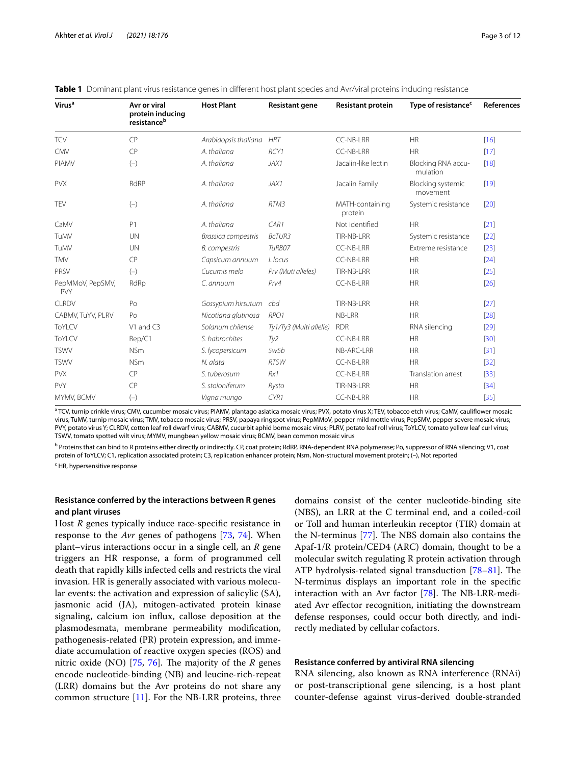| Page 3 0 |  |
|----------|--|
|          |  |

| <b>Virus<sup>a</sup></b>       | Avr or viral<br>protein inducing<br>resistanceb | <b>Host Plant</b>    | <b>Resistant gene</b>   | <b>Resistant protein</b>   | Type of resistance <sup>c</sup>      | <b>References</b> |
|--------------------------------|-------------------------------------------------|----------------------|-------------------------|----------------------------|--------------------------------------|-------------------|
| <b>TCV</b>                     | CP                                              | Arabidopsis thaliana | <b>HRT</b>              | CC-NB-LRR                  | <b>HR</b>                            | [16]              |
| CMV                            | CP                                              | A. thaliana          | RCY1                    | <b>CC-NB-LRR</b>           | <b>HR</b>                            | [17]              |
| PIAMV                          | $(-)$                                           | A. thaliana          | JAX1                    | Jacalin-like lectin        | Blocking RNA accu-<br>mulation       | $[18]$            |
| <b>PVX</b>                     | RdRP                                            | A. thaliana          | JAX1                    | Jacalin Family             | <b>Blocking systemic</b><br>movement | $[19]$            |
| TEV                            | $(-)$                                           | A. thaliana          | RTM3                    | MATH-containing<br>protein | Systemic resistance                  | $[20]$            |
| CaMV                           | P1                                              | A. thaliana          | CAR1                    | Not identified             | <b>HR</b>                            | [21]              |
| TuMV                           | UN                                              | Brassica compestris  | BcTUR3                  | TIR-NB-LRR                 | Systemic resistance                  | $[22]$            |
| TuMV                           | UN                                              | <b>B.</b> compestris | TuRB07                  | CC-NB-LRR                  | Extreme resistance                   | $[23]$            |
| <b>TMV</b>                     | CP                                              | Capsicum annuum      | L locus                 | CC-NB-LRR                  | <b>HR</b>                            | $[24]$            |
| PRSV                           | $(-)$                                           | Cucumis melo         | Prv (Muti alleles)      | TIR-NB-LRR                 | <b>HR</b>                            | $[25]$            |
| PepMMoV, PepSMV,<br><b>PVY</b> | RdRp                                            | C. annuum            | Prv4                    | CC-NB-LRR                  | <b>HR</b>                            | [26]              |
| <b>CLRDV</b>                   | Po                                              | Gossypium hirsutum   | cbd                     | TIR-NB-LRR                 | <b>HR</b>                            | $[27]$            |
| CABMV, TuYV, PLRV              | Po                                              | Nicotiana glutinosa  | RPO <sub>1</sub>        | NB-LRR                     | <b>HR</b>                            | [28]              |
| <b>ToYLCV</b>                  | V1 and C3                                       | Solanum chilense     | Ty1/Ty3 (Multi allelle) | <b>RDR</b>                 | RNA silencing                        | $[29]$            |
| <b>ToYLCV</b>                  | Rep/C1                                          | S. habrochites       | T <sub>V</sub> 2        | CC-NB-LRR                  | <b>HR</b>                            | $[30]$            |
| <b>TSWV</b>                    | <b>NSm</b>                                      | S. lycopersicum      | 5w5b                    | NB-ARC-LRR                 | <b>HR</b>                            | $[31]$            |
| <b>TSWV</b>                    | <b>NSm</b>                                      | N. alata             | <b>RTSW</b>             | CC-NB-LRR                  | <b>HR</b>                            | $[32]$            |
| <b>PVX</b>                     | CP                                              | S. tuberosum         | Rx1                     | CC-NB-LRR                  | Translation arrest                   | $[33]$            |
| <b>PVY</b>                     | CP                                              | S. stoloniferum      | Rysto                   | TIR-NB-LRR                 | <b>HR</b>                            | $[34]$            |
| MYMV, BCMV                     | $(-)$                                           | Vigna mungo          | CYR1                    | CC-NB-LRR                  | <b>HR</b>                            | $[35]$            |

<span id="page-2-0"></span>

|  | <b>Table 1</b> Dominant plant virus resistance genes in different host plant species and Avr/viral proteins inducing resistance |  |  |  |  |  |
|--|---------------------------------------------------------------------------------------------------------------------------------|--|--|--|--|--|
|--|---------------------------------------------------------------------------------------------------------------------------------|--|--|--|--|--|

<sup>a</sup> TCV, turnip crinkle virus; CMV, cucumber mosaic virus; PIAMV, plantago asiatica mosaic virus; PVX, potato virus X; TEV, tobacco etch virus; CaMV, cauliflower mosaic virus; TuMV, turnip mosaic virus; TMV, tobacco mosaic virus; PRSV, papaya ringspot virus; PepMMoV, pepper mild mottle virus; PepSMV, pepper severe mosaic virus; PVY, potato virus Y; CLRDV, cotton leaf roll dwarf virus; CABMV, cucurbit aphid borne mosaic virus; YLRV, potato leaf roll virus; ToYLCV, tomato yellow leaf curl virus; TSWV, tomato spotted wilt virus; MYMV, mungbean yellow mosaic virus; BCMV, bean common mosaic virus

**b** Proteins that can bind to R proteins either directly or indirectly. CP, coat protein; RdRP, RNA-dependent RNA polymerase; Po, suppressor of RNA silencing; V1, coat protein of ToYLCV; C1, replication associated protein; C3, replication enhancer protein; Nsm, Non-structural movement protein; (–), Not reported

<sup>c</sup> HR, hypersensitive response

## **Resistance conferred by the interactions between R genes and plant viruses**

Host *R* genes typically induce race-specific resistance in response to the *Avr* genes of pathogens [[73](#page-9-6), [74](#page-9-7)]. When plant–virus interactions occur in a single cell, an *R* gene triggers an HR response, a form of programmed cell death that rapidly kills infected cells and restricts the viral invasion. HR is generally associated with various molecular events: the activation and expression of salicylic (SA), jasmonic acid (JA), mitogen-activated protein kinase signaling, calcium ion infux, callose deposition at the plasmodesmata, membrane permeability modifcation, pathogenesis-related (PR) protein expression, and immediate accumulation of reactive oxygen species (ROS) and nitric oxide (NO)  $[75, 76]$  $[75, 76]$  $[75, 76]$ . The majority of the *R* genes encode nucleotide-binding (NB) and leucine-rich-repeat (LRR) domains but the Avr proteins do not share any common structure  $[11]$  $[11]$ . For the NB-LRR proteins, three domains consist of the center nucleotide-binding site (NBS), an LRR at the C terminal end, and a coiled-coil or Toll and human interleukin receptor (TIR) domain at the N-terminus  $[77]$  $[77]$ . The NBS domain also contains the Apaf-1/R protein/CED4 (ARC) domain, thought to be a molecular switch regulating R protein activation through ATP hydrolysis-related signal transduction  $[78-81]$  $[78-81]$  $[78-81]$ . The N-terminus displays an important role in the specifc interaction with an Avr factor  $[78]$ . The NB-LRR-mediated Avr efector recognition, initiating the downstream defense responses, could occur both directly, and indirectly mediated by cellular cofactors.

#### **Resistance conferred by antiviral RNA silencing**

RNA silencing, also known as RNA interference (RNAi) or post-transcriptional gene silencing, is a host plant counter-defense against virus-derived double-stranded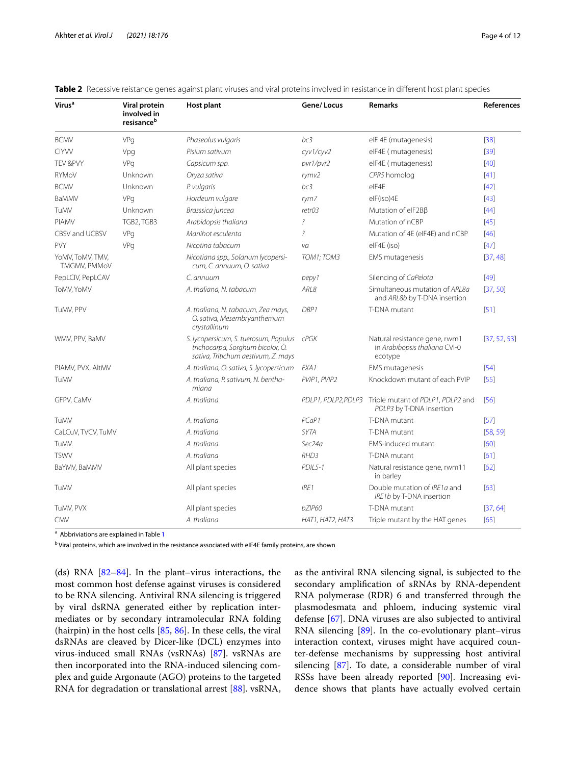| <b>Virus<sup>a</sup></b>                | Viral protein<br>involved in<br>resisance <sup>b</sup> | <b>Host plant</b>                                                                                                | Gene/Locus               | <b>Remarks</b>                                                                    | <b>References</b> |
|-----------------------------------------|--------------------------------------------------------|------------------------------------------------------------------------------------------------------------------|--------------------------|-----------------------------------------------------------------------------------|-------------------|
| <b>BCMV</b>                             | VPg                                                    | Phaseolus vulgaris                                                                                               | bc3                      | elF 4E (mutagenesis)                                                              | $[38]$            |
| <b>CIYVV</b>                            | Vpq                                                    | Pisium sativum                                                                                                   | cyv1/cyv2                | elF4E (mutagenesis)                                                               | $[39]$            |
| TEV &PVY                                | VPg                                                    | Capsicum spp.                                                                                                    | pvr1/pvr2                | elF4E (mutagenesis)                                                               | [40]              |
| RYMoV                                   | Unknown                                                | Oryza sativa                                                                                                     | rymv2                    | CPR5 homolog                                                                      | $[41]$            |
| <b>BCMV</b>                             | Unknown                                                | P. vulgaris                                                                                                      | bc3                      | elF4E                                                                             | $[42]$            |
| BaMMV                                   | VPg                                                    | Hordeum vulgare                                                                                                  | rym7                     | elF(iso)4E                                                                        | $[43]$            |
| TuMV                                    | Unknown                                                | Brasssica juncea                                                                                                 | retr03                   | Mutation of elF2BB                                                                | $[44]$            |
| PIAMV                                   | TGB2, TGB3                                             | Arabidopsis thaliana                                                                                             | $\overline{\phantom{a}}$ | Mutation of nCBP                                                                  | $[45]$            |
| CBSV and UCBSV                          | VPg                                                    | Manihot esculenta                                                                                                | ?                        | Mutation of 4E (eIF4E) and nCBP                                                   | $[46]$            |
| PVY                                     | VPg                                                    | Nicotina tabacum                                                                                                 | va                       | elF4E (iso)                                                                       | $[47]$            |
| YoMV, ToMV, TMV,<br><b>TMGMV, PMMoV</b> |                                                        | Nicotiana spp., Solanum lycopersi-<br>cum, C. annuum, O. sativa                                                  | TOM1; TOM3               | EMS mutagenesis                                                                   | [37, 48]          |
| PepLCIV, PepLCAV                        |                                                        | C. annuum                                                                                                        | pepy1                    | Silencing of CaPelota                                                             | $[49]$            |
| ToMV, YoMV                              |                                                        | A. thaliana, N. tabacum                                                                                          | ARL8                     | Simultaneous mutation of ARL8a<br>and ARL8b by T-DNA insertion                    | [37, 50]          |
| TuMV, PPV                               |                                                        | A. thaliana, N. tabacum, Zea mays,<br>O. sativa, Mesembryanthemum<br>crystallinum                                | DBP1                     | T-DNA mutant                                                                      | $[51]$            |
| WMV, PPV, BaMV                          |                                                        | S. lycopersicum, S. tuerosum, Populus<br>trichocarpa, Sorghum bicolor, O.<br>sativa, Tritichum aestivum, Z. mays | cPGK                     | Natural resistance gene, rwm1<br>in Arabibopsis thaliana CVI-0<br>ecotype         | [37, 52, 53]      |
| PIAMV, PVX, AltMV                       |                                                        | A. thaliana, O. sativa, S. lycopersicum                                                                          | EXA1                     | EMS mutagenesis                                                                   | $[54]$            |
| TuMV                                    |                                                        | A. thaliana, P. sativum, N. bentha-<br>miana                                                                     | PVIP1, PVIP2             | Knockdown mutant of each PVIP                                                     | $[55]$            |
| GFPV, CaMV                              |                                                        | A. thaliana                                                                                                      |                          | PDLP1, PDLP2, PDLP3 Triple mutant of PDLP1, PDLP2 and<br>PDLP3 by T-DNA insertion | $[56]$            |
| TuMV                                    |                                                        | A. thaliana                                                                                                      | PCaP1                    | T-DNA mutant                                                                      | $[57]$            |
| CaLCuV, TVCV, TuMV                      |                                                        | A. thaliana                                                                                                      | SYTA                     | T-DNA mutant                                                                      | [58, 59]          |
| TuMV                                    |                                                        | A. thaliana                                                                                                      | Sec24a                   | <b>EMS-induced mutant</b>                                                         | [60]              |
| <b>TSWV</b>                             |                                                        | A. thaliana                                                                                                      | RHD3                     | T-DNA mutant                                                                      | [61]              |
| BaYMV, BaMMV                            |                                                        | All plant species                                                                                                | PDIL5-1                  | Natural resistance gene, rwm11<br>in barley                                       | [62]              |
| TuMV                                    |                                                        | All plant species                                                                                                | IRE <sub>1</sub>         | Double mutation of IRE1a and<br>IRE1b by T-DNA insertion                          | [63]              |
| TuMV, PVX                               |                                                        | All plant species                                                                                                | bZIP60                   | T-DNA mutant                                                                      | [37, 64]          |
| <b>CMV</b>                              |                                                        | A. thaliana                                                                                                      | HAT1, HAT2, HAT3         | Triple mutant by the HAT genes                                                    | [65]              |

<span id="page-3-0"></span>**Table 2** Recessive reistance genes against plant viruses and viral proteins involved in resistance in diferent host plant species

<sup>a</sup> Abbriviations are explained in Table [1](#page-2-0)

 $^{\rm b}$  Viral proteins, which are involved in the resistance associated with eIF4E family proteins, are shown

(ds) RNA  $[82-84]$  $[82-84]$  $[82-84]$ . In the plant–virus interactions, the most common host defense against viruses is considered to be RNA silencing. Antiviral RNA silencing is triggered by viral dsRNA generated either by replication intermediates or by secondary intramolecular RNA folding (hairpin) in the host cells [[85,](#page-9-15) [86](#page-9-16)]. In these cells, the viral dsRNAs are cleaved by Dicer-like (DCL) enzymes into virus-induced small RNAs (vsRNAs) [[87](#page-9-17)]. vsRNAs are then incorporated into the RNA-induced silencing complex and guide Argonaute (AGO) proteins to the targeted RNA for degradation or translational arrest [[88\]](#page-9-18). vsRNA, as the antiviral RNA silencing signal, is subjected to the secondary amplifcation of sRNAs by RNA-dependent RNA polymerase (RDR) 6 and transferred through the plasmodesmata and phloem, inducing systemic viral defense [[67\]](#page-9-1). DNA viruses are also subjected to antiviral RNA silencing [\[89\]](#page-9-19). In the co-evolutionary plant–virus interaction context, viruses might have acquired counter-defense mechanisms by suppressing host antiviral silencing [\[87](#page-9-17)]. To date, a considerable number of viral RSSs have been already reported [[90](#page-9-20)]. Increasing evidence shows that plants have actually evolved certain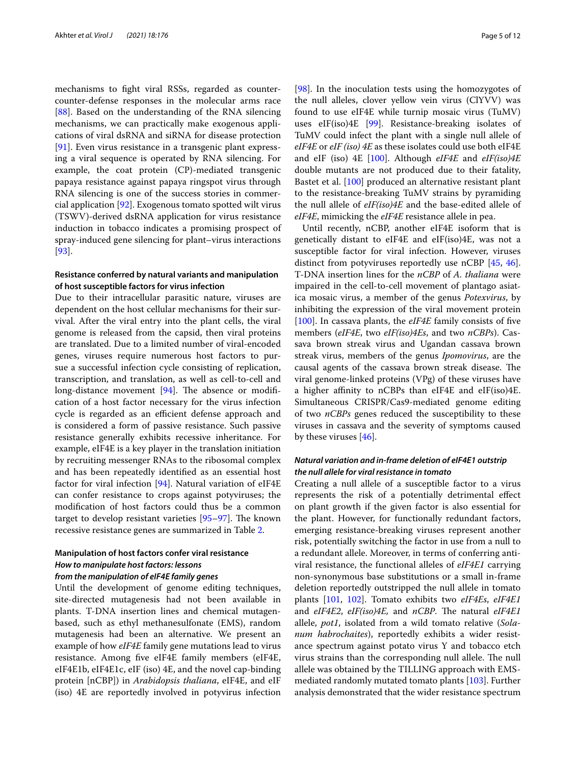mechanisms to fght viral RSSs, regarded as countercounter-defense responses in the molecular arms race [[88\]](#page-9-18). Based on the understanding of the RNA silencing mechanisms, we can practically make exogenous applications of viral dsRNA and siRNA for disease protection [[91\]](#page-9-25). Even virus resistance in a transgenic plant expressing a viral sequence is operated by RNA silencing. For example, the coat protein (CP)-mediated transgenic papaya resistance against papaya ringspot virus through RNA silencing is one of the success stories in commercial application [\[92\]](#page-9-26). Exogenous tomato spotted wilt virus (TSWV)-derived dsRNA application for virus resistance induction in tobacco indicates a promising prospect of spray-induced gene silencing for plant–virus interactions [[93\]](#page-9-27).

## **Resistance conferred by natural variants and manipulation of host susceptible factors for virus infection**

Due to their intracellular parasitic nature, viruses are dependent on the host cellular mechanisms for their survival. After the viral entry into the plant cells, the viral genome is released from the capsid, then viral proteins are translated. Due to a limited number of viral-encoded genes, viruses require numerous host factors to pursue a successful infection cycle consisting of replication, transcription, and translation, as well as cell-to-cell and long-distance movement  $[94]$  $[94]$ . The absence or modification of a host factor necessary for the virus infection cycle is regarded as an efficient defense approach and is considered a form of passive resistance. Such passive resistance generally exhibits recessive inheritance. For example, eIF4E is a key player in the translation initiation by recruiting messenger RNAs to the ribosomal complex and has been repeatedly identifed as an essential host factor for viral infection [\[94](#page-9-28)]. Natural variation of eIF4E can confer resistance to crops against potyviruses; the modifcation of host factors could thus be a common target to develop resistant varieties  $[95-97]$  $[95-97]$  $[95-97]$ . The known recessive resistance genes are summarized in Table [2](#page-3-0).

# **Manipulation of host factors confer viral resistance** *How to manipulate host factors: lessons*

## *from the manipulation of eIF4E family genes*

Until the development of genome editing techniques, site-directed mutagenesis had not been available in plants. T-DNA insertion lines and chemical mutagenbased, such as ethyl methanesulfonate (EMS), random mutagenesis had been an alternative. We present an example of how *eIF4E* family gene mutations lead to virus resistance. Among fve eIF4E family members (eIF4E, eIF4E1b, eIF4E1c, eIF (iso) 4E, and the novel cap-binding protein [nCBP]) in *Arabidopsis thaliana*, eIF4E, and eIF (iso) 4E are reportedly involved in potyvirus infection [[98\]](#page-9-31). In the inoculation tests using the homozygotes of the null alleles, clover yellow vein virus (ClYVV) was found to use eIF4E while turnip mosaic virus (TuMV) uses eIF(iso)4E [\[99](#page-9-32)]. Resistance-breaking isolates of TuMV could infect the plant with a single null allele of *eIF4E* or *eIF (iso) 4E* as these isolates could use both eIF4E and eIF (iso) 4E [[100\]](#page-9-33). Although *eIF4E* and *eIF(iso)4E* double mutants are not produced due to their fatality, Bastet et al. [[100](#page-9-33)] produced an alternative resistant plant to the resistance-breaking TuMV strains by pyramiding the null allele of *eIF(iso)4E* and the base-edited allele of *eIF4E*, mimicking the *eIF4E* resistance allele in pea.

Until recently, nCBP, another eIF4E isoform that is genetically distant to eIF4E and eIF(iso)4E, was not a susceptible factor for viral infection. However, viruses distinct from potyviruses reportedly use nCBP [[45,](#page-8-22) [46](#page-8-23)]. T-DNA insertion lines for the *nCBP* of *A. thaliana* were impaired in the cell-to-cell movement of plantago asiatica mosaic virus, a member of the genus *Potexvirus*, by inhibiting the expression of the viral movement protein [[100\]](#page-9-33). In cassava plants, the *eIF4E* family consists of fve members (*eIF4E*, two *eIF(iso)4Es*, and two *nCBPs*). Cassava brown streak virus and Ugandan cassava brown streak virus, members of the genus *Ipomovirus*, are the causal agents of the cassava brown streak disease. The viral genome-linked proteins (VPg) of these viruses have a higher afnity to nCBPs than eIF4E and eIF(iso)4E. Simultaneous CRISPR/Cas9-mediated genome editing of two *nCBPs* genes reduced the susceptibility to these viruses in cassava and the severity of symptoms caused by these viruses [[46](#page-8-23)].

## *Natural variation and in‑frame deletion of eIF4E1 outstrip the null allele for viral resistance in tomato*

Creating a null allele of a susceptible factor to a virus represents the risk of a potentially detrimental efect on plant growth if the given factor is also essential for the plant. However, for functionally redundant factors, emerging resistance-breaking viruses represent another risk, potentially switching the factor in use from a null to a redundant allele. Moreover, in terms of conferring antiviral resistance, the functional alleles of *eIF4E1* carrying non-synonymous base substitutions or a small in-frame deletion reportedly outstripped the null allele in tomato plants [\[101](#page-9-34), [102\]](#page-9-35). Tomato exhibits two *eIF4Es*, *eIF4E1* and *eIF4E2*, *eIF(iso)4E*, and *nCBP*. The natural *eIF4E1* allele, *pot1*, isolated from a wild tomato relative (*Solanum habrochaites*), reportedly exhibits a wider resistance spectrum against potato virus Y and tobacco etch virus strains than the corresponding null allele. The null allele was obtained by the TILLING approach with EMSmediated randomly mutated tomato plants [\[103](#page-9-36)]. Further analysis demonstrated that the wider resistance spectrum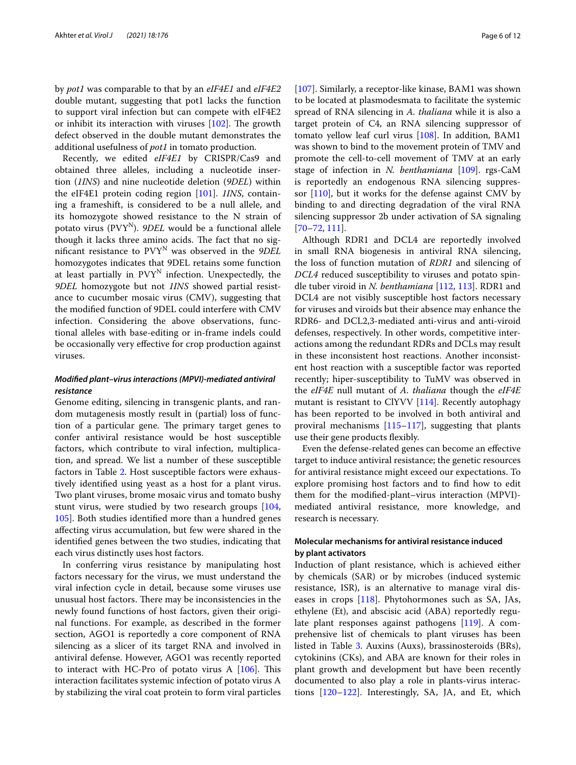by *pot1* was comparable to that by an *eIF4E1* and *eIF4E2* double mutant, suggesting that pot1 lacks the function to support viral infection but can compete with eIF4E2 or inhibit its interaction with viruses  $[102]$  $[102]$  $[102]$ . The growth defect observed in the double mutant demonstrates the additional usefulness of *pot1* in tomato production.

Recently, we edited *eIF4E1* by CRISPR/Cas9 and obtained three alleles, including a nucleotide insertion (*1INS*) and nine nucleotide deletion (*9DEL*) within the eIF4E1 protein coding region [\[101](#page-9-34)]. *1INS*, containing a frameshift, is considered to be a null allele, and its homozygote showed resistance to the N strain of potato virus (PVY<sup>N</sup>). *9DEL* would be a functional allele though it lacks three amino acids. The fact that no signifcant resistance to PVYN was observed in the *9DEL* homozygotes indicates that 9DEL retains some function at least partially in PVY<sup>N</sup> infection. Unexpectedly, the *9DEL* homozygote but not *1INS* showed partial resistance to cucumber mosaic virus (CMV), suggesting that the modifed function of 9DEL could interfere with CMV infection. Considering the above observations, functional alleles with base-editing or in-frame indels could be occasionally very efective for crop production against viruses.

## *Modifed plant–virus interactions (MPVI)‑mediated antiviral resistance*

Genome editing, silencing in transgenic plants, and random mutagenesis mostly result in (partial) loss of function of a particular gene. The primary target genes to confer antiviral resistance would be host susceptible factors, which contribute to viral infection, multiplication, and spread. We list a number of these susceptible factors in Table [2.](#page-3-0) Host susceptible factors were exhaustively identifed using yeast as a host for a plant virus. Two plant viruses, brome mosaic virus and tomato bushy stunt virus, were studied by two research groups [[104](#page-9-37), [105](#page-9-38)]. Both studies identifed more than a hundred genes afecting virus accumulation, but few were shared in the identifed genes between the two studies, indicating that each virus distinctly uses host factors.

In conferring virus resistance by manipulating host factors necessary for the virus, we must understand the viral infection cycle in detail, because some viruses use unusual host factors. There may be inconsistencies in the newly found functions of host factors, given their original functions. For example, as described in the former section, AGO1 is reportedly a core component of RNA silencing as a slicer of its target RNA and involved in antiviral defense. However, AGO1 was recently reported to interact with HC-Pro of potato virus A  $[106]$  $[106]$ . This interaction facilitates systemic infection of potato virus A by stabilizing the viral coat protein to form viral particles [[107\]](#page-9-40). Similarly, a receptor-like kinase, BAM1 was shown to be located at plasmodesmata to facilitate the systemic spread of RNA silencing in *A. thaliana* while it is also a target protein of C4, an RNA silencing suppressor of tomato yellow leaf curl virus [\[108\]](#page-9-41). In addition, BAM1 was shown to bind to the movement protein of TMV and promote the cell-to-cell movement of TMV at an early stage of infection in *N. benthamiana* [[109\]](#page-9-42). rgs-CaM is reportedly an endogenous RNA silencing suppressor [\[110](#page-10-0)], but it works for the defense against CMV by binding to and directing degradation of the viral RNA silencing suppressor 2b under activation of SA signaling [[70–](#page-9-4)[72,](#page-9-5) [111\]](#page-10-1).

Although RDR1 and DCL4 are reportedly involved in small RNA biogenesis in antiviral RNA silencing, the loss of function mutation of *RDR1* and silencing of *DCL4* reduced susceptibility to viruses and potato spindle tuber viroid in *N. benthamiana* [[112,](#page-10-2) [113](#page-10-3)]. RDR1 and DCL4 are not visibly susceptible host factors necessary for viruses and viroids but their absence may enhance the RDR6- and DCL2,3-mediated anti-virus and anti-viroid defenses, respectively. In other words, competitive interactions among the redundant RDRs and DCLs may result in these inconsistent host reactions. Another inconsistent host reaction with a susceptible factor was reported recently; hiper-susceptibility to TuMV was observed in the *eIF4E* null mutant of *A. thaliana* though the *eIF4E* mutant is resistant to ClYVV [[114\]](#page-10-4). Recently autophagy has been reported to be involved in both antiviral and proviral mechanisms [\[115–](#page-10-5)[117\]](#page-10-6), suggesting that plants use their gene products fexibly.

Even the defense-related genes can become an efective target to induce antiviral resistance; the genetic resources for antiviral resistance might exceed our expectations. To explore promising host factors and to fnd how to edit them for the modifed-plant–virus interaction (MPVI) mediated antiviral resistance, more knowledge, and research is necessary.

## **Molecular mechanisms for antiviral resistance induced by plant activators**

Induction of plant resistance, which is achieved either by chemicals (SAR) or by microbes (induced systemic resistance, ISR), is an alternative to manage viral diseases in crops [[118\]](#page-10-7). Phytohormones such as SA, JAs, ethylene (Et), and abscisic acid (ABA) reportedly regulate plant responses against pathogens [[119\]](#page-10-8). A comprehensive list of chemicals to plant viruses has been listed in Table [3.](#page-6-0) Auxins (Auxs), brassinosteroids (BRs), cytokinins (CKs), and ABA are known for their roles in plant growth and development but have been recently documented to also play a role in plants-virus interactions [[120](#page-10-9)[–122](#page-10-10)]. Interestingly, SA, JA, and Et, which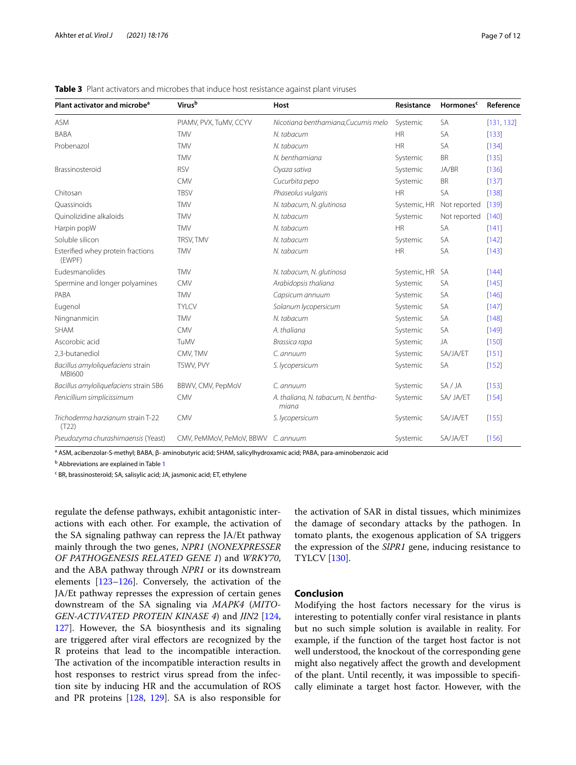| Plant activator and microbe <sup>a</sup>           | Virusb                             | Host                                         | Resistance   | Hormones <sup>c</sup> | Reference  |
|----------------------------------------------------|------------------------------------|----------------------------------------------|--------------|-----------------------|------------|
| <b>ASM</b>                                         | PIAMV, PVX, TuMV, CCYV             | Nicotiana benthamiana, Cucumis melo          | Systemic     | <b>SA</b>             | [131, 132] |
| <b>BABA</b>                                        | <b>TMV</b>                         | N. tabacum                                   | <b>HR</b>    | <b>SA</b>             | [133]      |
| Probenazol                                         | <b>TMV</b>                         | N. tabacum                                   | <b>HR</b>    | <b>SA</b>             | [134]      |
|                                                    | <b>TMV</b>                         | N. benthamiana                               | Systemic     | <b>BR</b>             | [135]      |
| Brassinosteroid                                    | <b>RSV</b>                         | Oyaza sativa                                 | Systemic     | JA/BR                 | [136]      |
|                                                    | <b>CMV</b>                         | Cucurbita pepo                               | Systemic     | <b>BR</b>             | $[137]$    |
| Chitosan                                           | <b>TBSV</b>                        | Phaseolus vulgaris                           | <b>HR</b>    | <b>SA</b>             | [138]      |
| Ouassinoids                                        | <b>TMV</b>                         | N. tabacum, N. glutinosa                     | Systemic, HR | Not reported          | [139]      |
| Ouinolizidine alkaloids                            | <b>TMV</b>                         | N. tabacum                                   | Systemic     | Not reported          | [140]      |
| Harpin popW                                        | <b>TMV</b>                         | N. tabacum                                   | <b>HR</b>    | <b>SA</b>             | [141]      |
| Soluble silicon                                    | TRSV, TMV                          | N. tabacum                                   | Systemic     | <b>SA</b>             | [142]      |
| Esterified whey protein fractions<br>(EWPF)        | <b>TMV</b>                         | N. tabacum                                   | <b>HR</b>    | <b>SA</b>             | [143]      |
| Eudesmanolides                                     | <b>TMV</b>                         | N. tabacum, N. glutinosa                     | Systemic, HR | <b>SA</b>             | [144]      |
| Spermine and longer polyamines                     | CMV                                | Arabidopsis thaliana                         | Systemic     | <b>SA</b>             | $[145]$    |
| PABA                                               | <b>TMV</b>                         | Capsicum annuum                              | Systemic     | <b>SA</b>             | [146]      |
| Eugenol                                            | <b>TYLCV</b>                       | Solanum lycopersicum                         | Systemic     | <b>SA</b>             | [147]      |
| Ningnanmicin                                       | <b>TMV</b>                         | N. tabacum                                   | Systemic     | <b>SA</b>             | [148]      |
| <b>SHAM</b>                                        | <b>CMV</b>                         | A. thaliana                                  | Systemic     | <b>SA</b>             | [149]      |
| Ascorobic acid                                     | TuMV                               | Brassica rapa                                | Systemic     | JA                    | [150]      |
| 2.3-butanediol                                     | CMV, TMV                           | $C$ annuum                                   | Systemic     | SA/JA/ET              | [151]      |
| Bacillus amyloliquefaciens strain<br><b>MBI600</b> | TSWV, PVY                          | S. lycopersicum                              | Systemic     | <b>SA</b>             | $[152]$    |
| Bacillus amyloliquefaciens strain 5B6              | BBWV, CMV, PepMoV                  | C. annuum                                    | Systemic     | SA/JA                 | [153]      |
| Penicillium simplicissimum                         | CMV                                | A. thaliana, N. tabacum, N. bentha-<br>miana | Systemic     | SA/ JA/ET             | $[154]$    |
| Trichoderma harzianum strain T-22<br>(T22)         | CMV                                | S. lycopersicum                              | Systemic     | SA/JA/ET              | [155]      |
| Pseudozyma churashimaensis (Yeast)                 | CMV, PeMMoV, PeMoV, BBWV C. annuum |                                              | Systemic     | SA/JA/ET              | [156]      |

<span id="page-6-0"></span>**Table 3** Plant activators and microbes that induce host resistance against plant viruses

<sup>a</sup> ASM, acibenzolar-S-methyl; BABA, β- aminobutyric acid; SHAM, salicylhydroxamic acid; PABA, para-aminobenzoic acid

<sup>b</sup> Abbreviations are explained in Table [1](#page-2-0)

<sup>c</sup> BR, brassinosteroid; SA, salisylic acid; JA, jasmonic acid; ET, ethylene

regulate the defense pathways, exhibit antagonistic interactions with each other. For example, the activation of the SA signaling pathway can repress the JA/Et pathway mainly through the two genes, *NPR1* (*NONEXPRESSER OF PATHOGENESIS RELATED GENE 1*) and *WRKY70*, and the ABA pathway through *NPR1* or its downstream elements [[123](#page-10-11)[–126](#page-10-12)]. Conversely, the activation of the JA/Et pathway represses the expression of certain genes downstream of the SA signaling via *MAPK4* (*MITO-GEN‐ACTIVATED PROTEIN KINASE 4*) and *JIN2* [[124](#page-10-13), [127](#page-10-14)]. However, the SA biosynthesis and its signaling are triggered after viral efectors are recognized by the R proteins that lead to the incompatible interaction. The activation of the incompatible interaction results in host responses to restrict virus spread from the infection site by inducing HR and the accumulation of ROS and PR proteins [[128](#page-10-15), [129\]](#page-10-16). SA is also responsible for

the activation of SAR in distal tissues, which minimizes the damage of secondary attacks by the pathogen. In tomato plants, the exogenous application of SA triggers the expression of the *SlPR1* gene, inducing resistance to TYLCV [[130](#page-10-17)].

#### **Conclusion**

Modifying the host factors necessary for the virus is interesting to potentially confer viral resistance in plants but no such simple solution is available in reality. For example, if the function of the target host factor is not well understood, the knockout of the corresponding gene might also negatively afect the growth and development of the plant. Until recently, it was impossible to specifcally eliminate a target host factor. However, with the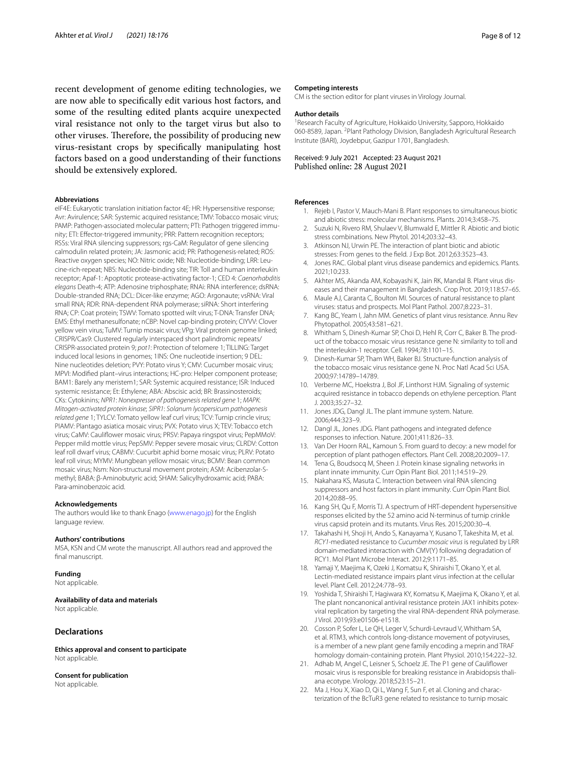recent development of genome editing technologies, we are now able to specifcally edit various host factors, and some of the resulting edited plants acquire unexpected viral resistance not only to the target virus but also to other viruses. Therefore, the possibility of producing new virus-resistant crops by specifcally manipulating host factors based on a good understanding of their functions should be extensively explored.

#### **Abbreviations**

eIF4E: Eukaryotic translation initiation factor 4E; HR: Hypersensitive response; Avr: Avirulence; SAR: Systemic acquired resistance; TMV: Tobacco mosaic virus; PAMP: Pathogen-associated molecular pattern; PTI: Pathogen triggered immunity; ETI: Efector-triggered immunity; PRR: Pattern recognition receptors; RSSs: Viral RNA silencing suppressors; rgs-CaM: Regulator of gene silencing calmodulin related protein; JA: Jasmonic acid; PR: Pathogenesis-related; ROS: Reactive oxygen species; NO: Nitric oxide; NB: Nucleotide-binding; LRR: Leucine-rich-repeat; NBS: Nucleotide-binding site; TIR: Toll and human interleukin receptor; Apaf-1: Apoptotic protease-activating factor-1; CED 4: *Caenorhabditis elegans* Death-4; ATP: Adenosine triphosphate; RNAi: RNA interference; dsRNA: Double-stranded RNA; DCL: Dicer-like enzyme; AGO: Argonaute; vsRNA: Viral small RNA; RDR: RNA-dependent RNA polymerase; siRNA: Short interfering RNA; CP: Coat protein; TSWV: Tomato spotted wilt virus; T-DNA: Transfer DNA; EMS: Ethyl methanesulfonate; nCBP: Novel cap-binding protein; CIYVV: Clover yellow vein virus; TuMV: Turnip mosaic virus; VPg: Viral protein genome linked; CRISPR/Cas9: Clustered regularly interspaced short palindromic repeats/ CRISPR-associated protein 9; *pot1*: Protection of telomere 1; TILLING: Target induced local lesions in genomes; 1INS: One nucleotide insertion; 9 DEL: Nine nucleotides deletion; PVY: Potato virus Y; CMV: Cucumber mosaic virus; MPVI: Modifed plant–virus interactions; HC-pro: Helper component protease; BAM1: Barely any meristem1; SAR: Systemic acquired resistance; ISR: Induced systemic resistance; Et: Ethylene; ABA: Abscisic acid; BR: Brassinosteroids; CKs: Cytokinins; *NPR1*: *Nonexpresser of pathogenesis related gene* 1; *MAPK*: *Mitogen-activated protein kinase*; *SIPR1*: *Solanum lycopersicum pathogenesis related gene* 1; TYLCV: Tomato yellow leaf curl virus; TCV: Turnip crincle virus; PIAMV: Plantago asiatica mosaic virus; PVX: Potato virus X; TEV: Tobacco etch virus; CaMV: Caulifower mosaic virus; PRSV: Papaya ringspot virus; PepMMoV: Pepper mild mottle virus; PepSMV: Pepper severe mosaic virus; CLRDV: Cotton leaf roll dwarf virus; CABMV: Cucurbit aphid borne mosaic virus; PLRV: Potato leaf roll virus; MYMV: Mungbean yellow mosaic virus; BCMV: Bean common mosaic virus; Nsm: Non-structural movement protein; ASM: Acibenzolar-Smethyl; BABA: β-Aminobutyric acid; SHAM: Salicylhydroxamic acid; PABA: Para-aminobenzoic acid.

#### **Acknowledgements**

The authors would like to thank Enago [\(www.enago.jp\)](http://www.enago.jp) for the English language review.

#### **Authors' contributions**

MSA, KSN and CM wrote the manuscript. All authors read and approved the final manuscript.

## **Funding**

Not applicable.

## **Availability of data and materials**

Not applicable.

#### **Declarations**

**Ethics approval and consent to participate** Not applicable.

#### **Consent for publication**

Not applicable.

#### **Competing interests**

CM is the section editor for plant viruses in Virology Journal.

#### **Author details**

<sup>1</sup> Research Faculty of Agriculture, Hokkaido University, Sapporo, Hokkaido 060-8589, Japan. <sup>2</sup> Plant Pathology Division, Bangladesh Agricultural Research Institute (BARI), Joydebpur, Gazipur 1701, Bangladesh.

Received: 9 July 2021 Accepted: 23 August 2021

#### <span id="page-7-0"></span>**References**

- 1. Rejeb I, Pastor V, Mauch-Mani B. Plant responses to simultaneous biotic and abiotic stress: molecular mechanisms. Plants. 2014;3:458–75.
- 2. Suzuki N, Rivero RM, Shulaev V, Blumwald E, Mittler R. Abiotic and biotic stress combinations. New Phytol. 2014;203:32–43.
- <span id="page-7-1"></span>3. Atkinson NJ, Urwin PE. The interaction of plant biotic and abiotic stresses: From genes to the feld. J Exp Bot. 2012;63:3523–43.
- <span id="page-7-2"></span>4. Jones RAC. Global plant virus disease pandemics and epidemics. Plants. 2021;10:233.
- <span id="page-7-3"></span>Akhter MS, Akanda AM, Kobayashi K, Jain RK, Mandal B. Plant virus diseases and their management in Bangladesh. Crop Prot. 2019;118:57–65.
- <span id="page-7-4"></span>6. Maule AJ, Caranta C, Boulton MI. Sources of natural resistance to plant viruses: status and prospects. Mol Plant Pathol. 2007;8:223–31.
- <span id="page-7-5"></span>7. Kang BC, Yeam I, Jahn MM. Genetics of plant virus resistance. Annu Rev Phytopathol. 2005;43:581–621.
- <span id="page-7-6"></span>8. Whitham S, Dinesh-Kumar SP, Choi D, Hehl R, Corr C, Baker B. The product of the tobacco mosaic virus resistance gene N: similarity to toll and the interleukin-1 receptor. Cell. 1994;78:1101–15.
- <span id="page-7-7"></span>9. Dinesh-Kumar SP, Tham WH, Baker BJ. Structure-function analysis of the tobacco mosaic virus resistance gene N. Proc Natl Acad Sci USA. 2000;97:14789–14789.
- <span id="page-7-8"></span>10. Verberne MC, Hoekstra J, Bol JF, Linthorst HJM. Signaling of systemic acquired resistance in tobacco depends on ethylene perception. Plant J. 2003;35:27–32.
- <span id="page-7-9"></span>11. Jones JDG, Dangl JL. The plant immune system. Nature. 2006;444:323–9.
- 12. Dangl JL, Jones JDG. Plant pathogens and integrated defence responses to infection. Nature. 2001;411:826–33.
- <span id="page-7-10"></span>13. Van Der Hoorn RAL, Kamoun S. From guard to decoy: a new model for perception of plant pathogen efectors. Plant Cell. 2008;20:2009–17.
- <span id="page-7-11"></span>14. Tena G, Boudsocq M, Sheen J. Protein kinase signaling networks in plant innate immunity. Curr Opin Plant Biol. 2011;14:519–29.
- <span id="page-7-12"></span>15. Nakahara KS, Masuta C. Interaction between viral RNA silencing suppressors and host factors in plant immunity. Curr Opin Plant Biol. 2014;20:88–95.
- <span id="page-7-13"></span>16. Kang SH, Qu F, Morris TJ. A spectrum of HRT-dependent hypersensitive responses elicited by the 52 amino acid N-terminus of turnip crinkle virus capsid protein and its mutants. Virus Res. 2015;200:30–4.
- <span id="page-7-14"></span>17. Takahashi H, Shoji H, Ando S, Kanayama Y, Kusano T, Takeshita M, et al. *RCY1*-mediated resistance to *Cucumber mosaic virus* is regulated by LRR domain-mediated interaction with CMV(Y) following degradation of RCY1. Mol Plant Microbe Interact. 2012;9:1171–85.
- <span id="page-7-15"></span>18. Yamaji Y, Maejima K, Ozeki J, Komatsu K, Shiraishi T, Okano Y, et al. Lectin-mediated resistance impairs plant virus infection at the cellular level. Plant Cell. 2012;24:778–93.
- <span id="page-7-16"></span>19. Yoshida T, Shiraishi T, Hagiwara KY, Komatsu K, Maejima K, Okano Y, et al. The plant noncanonical antiviral resistance protein JAX1 inhibits potexviral replication by targeting the viral RNA-dependent RNA polymerase. J Virol. 2019;93:e01506-e1518.
- <span id="page-7-17"></span>20. Cosson P, Sofer L, Le QH, Leger V, Schurdi-Levraud V, Whitham SA, et al. RTM3, which controls long-distance movement of potyviruses, is a member of a new plant gene family encoding a meprin and TRAF homology domain-containing protein. Plant Physiol. 2010;154:222–32.
- <span id="page-7-18"></span>21. Adhab M, Angel C, Leisner S, Schoelz JE. The P1 gene of Caulifower mosaic virus is responsible for breaking resistance in Arabidopsis thaliana ecotype. Virology. 2018;523:15–21.
- <span id="page-7-19"></span>22. Ma J, Hou X, Xiao D, Qi L, Wang F, Sun F, et al. Cloning and characterization of the BcTuR3 gene related to resistance to turnip mosaic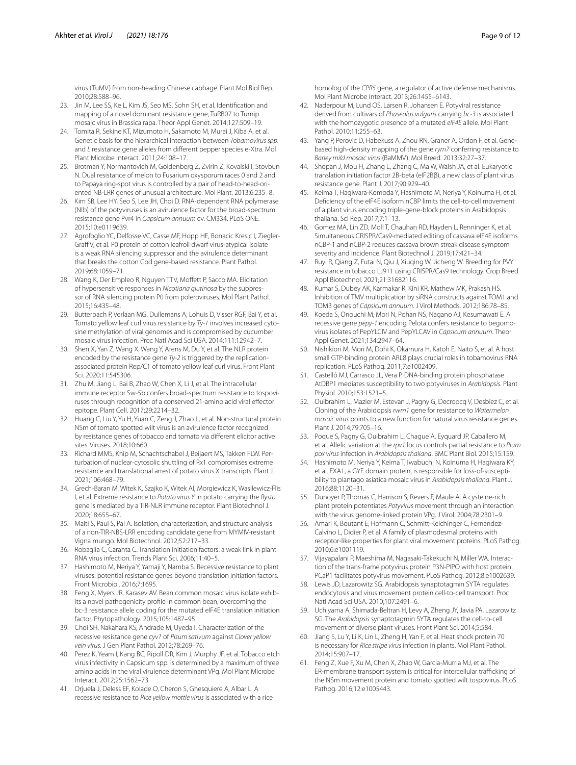virus (TuMV) from non-heading Chinese cabbage. Plant Mol Biol Rep. 2010;28:588–96.

- <span id="page-8-3"></span>23. Jin M, Lee SS, Ke L, Kim JS, Seo MS, Sohn SH, et al. Identifcation and mapping of a novel dominant resistance gene, TuRB07 to Turnip mosaic virus in Brassica rapa. Theor Appl Genet. 2014;127:509–19.
- <span id="page-8-4"></span>24. Tomita R, Sekine KT, Mizumoto H, Sakamoto M, Murai J, Kiba A, et al. Genetic basis for the hierarchical interaction between *Tobamovirus spp*. and *L* resistance gene alleles from diferent pepper species e-Xtra. Mol Plant Microbe Interact. 2011;24:108–17.
- <span id="page-8-5"></span>25. Brotman Y, Normantovich M, Goldenberg Z, Zvirin Z, Kovalski I, Stovbun N. Dual resistance of melon to Fusarium oxysporum races 0 and 2 and to Papaya ring-spot virus is controlled by a pair of head-to-head-oriented NB-LRR genes of unusual architecture. Mol Plant. 2013;6:235–8.
- <span id="page-8-6"></span>26. Kim SB, Lee HY, Seo S, Lee JH, Choi D. RNA-dependent RNA polymerase (NIb) of the potyviruses is an avirulence factor for the broad-spectrum resistance gene Pvr4 in *Capsicum annuum* cv. CM334. PLoS ONE. 2015;10:e0119639.
- <span id="page-8-7"></span>27. Agrofoglio YC, Delfosse VC, Casse MF, Hopp HE, Bonacic Kresic I, Ziegler-Graff V, et al. P0 protein of cotton leafroll dwarf virus-atypical isolate is a weak RNA silencing suppressor and the avirulence determinant that breaks the cotton Cbd gene-based resistance. Plant Pathol. 2019;68:1059–71.
- <span id="page-8-8"></span>28. Wang K, Der Empleo R, Nguyen TTV, Moffett P, Sacco MA. Elicitation of hypersensitive responses in *Nicotiana glutinosa* by the suppressor of RNA silencing protein P0 from poleroviruses. Mol Plant Pathol. 2015;16:435–48.
- <span id="page-8-2"></span>29. Butterbach P, Verlaan MG, Dullemans A, Lohuis D, Visser RGF, Bai Y, et al. Tomato yellow leaf curl virus resistance by *Ty-1* involves increased cytosine methylation of viral genomes and is compromised by cucumber mosaic virus infection. Proc Natl Acad Sci USA. 2014;111:12942–7.
- <span id="page-8-9"></span>30. Shen X, Yan Z, Wang X, Wang Y, Arens M, Du Y, et al. The NLR protein encoded by the resistance gene *Ty-2* is triggered by the replicationassociated protein Rep/C1 of tomato yellow leaf curl virus. Front Plant Sci. 2020;11:545306.
- <span id="page-8-10"></span>31. Zhu M, Jiang L, Bai B, Zhao W, Chen X, Li J, et al. The intracellular immune receptor Sw-5b confers broad-spectrum resistance to tospoviruses through recognition of a conserved 21-amino acid viral efector epitope. Plant Cell. 2017;29:2214–32.
- <span id="page-8-11"></span>32. Huang C, Liu Y, Yu H, Yuan C, Zeng J, Zhao L, et al. Non-structural protein NSm of tomato spotted wilt virus is an avirulence factor recognized by resistance genes of tobacco and tomato via diferent elicitor active sites. Viruses. 2018;10:660.
- <span id="page-8-12"></span>33. Richard MMS, Knip M, Schachtschabel J, Beijaert MS, Takken FLW. Perturbation of nuclear-cytosolic shuttling of Rx1 compromises extreme resistance and translational arrest of potato virus X transcripts. Plant J. 2021;106:468–79.
- <span id="page-8-13"></span>34. Grech-Baran M, Witek K, Szajko K, Witek AI, Morgiewicz K, Wasilewicz-Flis I, et al. Extreme resistance to *Potato virus Y* in potato carrying the *Rysto* gene is mediated by a TIR-NLR immune receptor. Plant Biotechnol J. 2020;18:655–67.
- <span id="page-8-14"></span>35. Maiti S, Paul S, Pal A. Isolation, characterization, and structure analysis of a non-TIR-NBS-LRR encoding candidate gene from MYMIV-resistant Vigna mungo. Mol Biotechnol. 2012;52:217–33.
- <span id="page-8-0"></span>36. Robaglia C, Caranta C. Translation initiation factors: a weak link in plant RNA virus infection. Trends Plant Sci. 2006;11:40–5.
- <span id="page-8-1"></span>37. Hashimoto M, Neriya Y, Yamaji Y, Namba S. Recessive resistance to plant viruses: potential resistance genes beyond translation initiation factors. Front Microbiol. 2016;7:1695.
- <span id="page-8-15"></span>38. Feng X, Myers JR, Karasev AV. Bean common mosaic virus isolate exhibits a novel pathogenicity profle in common bean, overcoming the bc-3 resistance allele coding for the mutated eIF4E translation initiation factor. Phytopathology. 2015;105:1487–95.
- <span id="page-8-16"></span>39. Choi SH, Nakahara KS, Andrade M, Uyeda I. Characterization of the recessive resistance gene *cyv1* of *Pisum sativum* against *Clover yellow vein virus*. J Gen Plant Pathol. 2012;78:269–76.
- <span id="page-8-17"></span>40. Perez K, Yeam I, Kang BC, Ripoll DR, Kim J, Murphy JF, et al. Tobacco etch virus infectivity in Capsicum spp. is determined by a maximum of three amino acids in the viral virulence determinant VPg. Mol Plant Microbe Interact. 2012;25:1562–73.
- <span id="page-8-18"></span>41. Orjuela J, Deless EF, Kolade O, Cheron S, Ghesquiere A, Albar L. A recessive resistance to *Rice yellow mottle virus* is associated with a rice

homolog of the *CPR5* gene, a regulator of active defense mechanisms. Mol Plant Microbe Interact. 2013;26:1455–6143.

- <span id="page-8-19"></span>42. Naderpour M, Lund OS, Larsen R, Johansen E. Potyviral resistance derived from cultivars of *Phaseolus vulgaris* carrying *bc-3* is associated with the homozygotic presence of a mutated *eIF4E* allele. Mol Plant Pathol. 2010;11:255–63.
- <span id="page-8-20"></span>43. Yang P, Perovic D, Habekuss A, Zhou RN, Graner A, Ordon F, et al. Genebased high-density mapping of the gene *rym7* conferring resistance to *Barley mild mosaic virus* (BaMMV). Mol Breed. 2013;32:27–37.
- <span id="page-8-21"></span>44. Shopan J, Mou H, Zhang L, Zhang C, Ma W, Walsh JA, et al. Eukaryotic translation initiation factor 2B-beta (eIF2Bβ), a new class of plant virus resistance gene. Plant J. 2017;90:929–40.
- <span id="page-8-22"></span>45. Keima T, Hagiwara-Komoda Y, Hashimoto M, Neriya Y, Koinuma H, et al. Defciency of the eIF4E isoform nCBP limits the cell-to-cell movement of a plant virus encoding triple-gene-block proteins in Arabidopsis thaliana. Sci Rep. 2017;7:1–13.
- <span id="page-8-23"></span>46. Gomez MA, Lin ZD, Moll T, Chauhan RD, Hayden L, Renninger K, et al. Simultaneous CRISPR/Cas9-mediated editing of cassava eIF4E isoforms nCBP-1 and nCBP-2 reduces cassava brown streak disease symptom severity and incidence. Plant Biotechnol J. 2019;17:421–34.
- <span id="page-8-24"></span>47. Ruyi R, Qiang Z, Futai N, Qiu J, Xiuqing W, Jicheng W. Breeding for PVY resistance in tobacco LJ911 using CRISPR/Cas9 technology. Crop Breed Appl Biotechnol. 2021;21:31682116.
- <span id="page-8-25"></span>48. Kumar S, Dubey AK, Karmakar R, Kini KR, Mathew MK, Prakash HS. Inhibition of TMV multiplication by siRNA constructs against TOM1 and TOM3 genes of *Capsicum annuum*. J Virol Methods. 2012;186:78–85.
- <span id="page-8-26"></span>49. Koeda S, Onouchi M, Mori N, Pohan NS, Nagano AJ, Kesumawati E. A recessive gene *pepy-1* encoding Pelota confers resistance to begomovirus isolates of PepYLCIV and PepYLCAV in *Capsicum annuum*. Theor Appl Genet. 2021;134:2947–64.
- <span id="page-8-27"></span>50. Nishikiori M, Mori M, Dohi K, Okamura H, Katoh E, Naito S, et al. A host small GTP-binding protein ARL8 plays crucial roles in tobamovirus RNA replication. PLoS Pathog. 2011;7:e1002409.
- <span id="page-8-28"></span>51. Castelló MJ, Carrasco JL, Vera P. DNA-binding protein phosphatase AtDBP1 mediates susceptibility to two potyviruses in *Arabidopsis*. Plant Physiol. 2010;153:1521–5.
- <span id="page-8-29"></span>52. Ouibrahim L, Mazier M, Estevan J, Pagny G, Decroocq V, Desbiez C, et al. Cloning of the Arabidopsis *rwm1* gene for resistance to *Watermelon mosaic virus* points to a new function for natural virus resistance genes. Plant J. 2014;79:705–16.
- <span id="page-8-30"></span>53. Poque S, Pagny G, Ouibrahim L, Chague A, Eyquard JP, Caballero M, et al. Allelic variation at the *rpv1* locus controls partial resistance to *Plum pox virus* infection in *Arabidopsis thaliana*. BMC Plant Biol. 2015;15:159.
- <span id="page-8-31"></span>54. Hashimoto M, Neriya Y, Keima T, Iwabuchi N, Koinuma H, Hagiwara KY, et al. EXA1, a GYF domain protein, is responsible for loss-of-susceptibility to plantago asiatica mosaic virus in *Arabidopsis thaliana*. Plant J. 2016;88:1120–31.
- <span id="page-8-32"></span>55. Dunoyer P, Thomas C, Harrison S, Revers F, Maule A. A cysteine-rich plant protein potentiates *Potyvirus* movement through an interaction with the virus genome-linked protein VPg. J Virol. 2004;78:2301–9.
- <span id="page-8-33"></span>56. Amari K, Boutant E, Hofmann C, Schmitt-Keichinger C, Fernandez-Calvino L, Didier P, et al. A family of plasmodesmal proteins with receptor-like properties for plant viral movement proteins. PLoS Pathog. 2010;6:e1001119.
- <span id="page-8-34"></span>57. Vijayapalani P, Maeshima M, Nagasaki-Takekuchi N, Miller WA. Interaction of the trans-frame potyvirus protein P3N-PIPO with host protein PCaP1 facilitates potyvirus movement. PLoS Pathog. 2012;8:e1002639.
- <span id="page-8-35"></span>58. Lewis JD, Lazarowitz SG. Arabidopsis synaptotagmin SYTA regulates endocytosis and virus movement protein cell-to-cell transport. Proc Natl Acad Sci USA. 2010;107:2491–6.
- <span id="page-8-36"></span>59. Uchiyama A, Shimada-Beltran H, Levy A, Zheng JY, Javia PA, Lazarowitz SG. The *Arabidopsis* synaptotagmin SYTA regulates the cell-to-cell movement of diverse plant viruses. Front Plant Sci. 2014;5:584.
- <span id="page-8-37"></span>60. Jiang S, Lu Y, Li K, Lin L, Zheng H, Yan F, et al. Heat shock protein 70 is necessary for *Rice stripe virus* infection in plants. Mol Plant Pathol. 2014;15:907–17.
- <span id="page-8-38"></span>61. Feng Z, Xue F, Xu M, Chen X, Zhao W, Garcia-Murria MJ, et al. The ER-membrane transport system is critical for intercellular trafficking of the NSm movement protein and tomato spotted wilt tospovirus. PLoS Pathog. 2016;12:e1005443.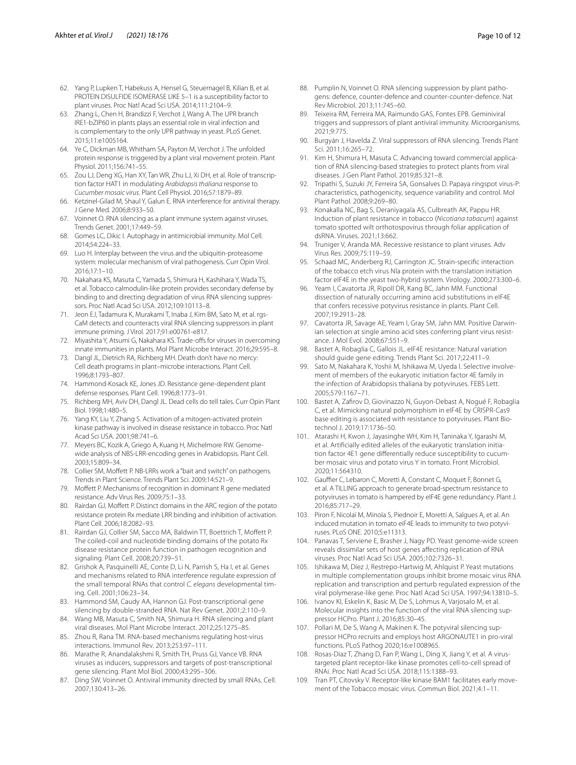- <span id="page-9-21"></span>62. Yang P, Lupken T, Habekuss A, Hensel G, Steuernagel B, Kilian B, et al. PROTEIN DISULFIDE ISOMERASE LIKE 5–1 is a susceptibility factor to plant viruses. Proc Natl Acad Sci USA. 2014;111:2104–9.
- <span id="page-9-22"></span>63. Zhang L, Chen H, Brandizzi F, Verchot J, Wang A. The UPR branch IRE1-bZIP60 in plants plays an essential role in viral infection and is complementary to the only UPR pathway in yeast. PLoS Genet. 2015;11:e1005164.
- <span id="page-9-23"></span>64. Ye C, Dickman MB, Whitham SA, Payton M, Verchot J. The unfolded protein response is triggered by a plant viral movement protein. Plant Physiol. 2011;156:741–55.
- <span id="page-9-24"></span>65. Zou LJ, Deng XG, Han XY, Tan WR, Zhu LJ, Xi DH, et al. Role of transcription factor HAT1 in modulating *Arabidopsis thaliana* response to *Cucumber mosaic virus*. Plant Cell Physiol. 2016;57:1879–89.
- <span id="page-9-0"></span>66. Ketzinel-Gilad M, Shaul Y, Galun E. RNA interference for antiviral therapy. J Gene Med. 2006;8:933–50.
- <span id="page-9-1"></span>67. Voinnet O. RNA silencing as a plant immune system against viruses. Trends Genet. 2001;17:449–59.
- <span id="page-9-2"></span>68. Gomes LC, Dikic I. Autophagy in antimicrobial immunity. Mol Cell. 2014;54:224–33.
- <span id="page-9-3"></span>69. Luo H. Interplay between the virus and the ubiquitin-proteasome system: molecular mechanism of viral pathogenesis. Curr Opin Virol. 2016;17:1–10.
- <span id="page-9-4"></span>70. Nakahara KS, Masuta C, Yamada S, Shimura H, Kashihara Y, Wada TS, et al. Tobacco calmodulin-like protein provides secondary defense by binding to and directing degradation of virus RNA silencing suppressors. Proc Natl Acad Sci USA. 2012;109:10113–8.
- 71. Jeon EJ, Tadamura K, Murakami T, Inaba J, Kim BM, Sato M, et al. rgs-CaM detects and counteracts viral RNA silencing suppressors in plant immune priming. J Virol. 2017;91:e00761-e817.
- <span id="page-9-5"></span>72. Miyashita Y, Atsumi G, Nakahara KS. Trade-offs for viruses in overcoming innate immunities in plants. Mol Plant Microbe Interact. 2016;29:595–8.
- <span id="page-9-6"></span>73. Dangl JL, Dietrich RA, Richberg MH. Death don't have no mercy: Cell death programs in plant–microbe interactions. Plant Cell. 1996;8:1793–807.
- <span id="page-9-7"></span>74. Hammond-Kosack KE, Jones JD. Resistance gene-dependent plant defense responses. Plant Cell. 1996;8:1773–91.
- <span id="page-9-8"></span>75. Richberg MH, Aviv DH, Dangl JL. Dead cells do tell tales. Curr Opin Plant Biol. 1998;1:480–5.
- <span id="page-9-9"></span>76. Yang KY, Liu Y, Zhang S. Activation of a mitogen-activated protein kinase pathway is involved in disease resistance in tobacco. Proc Natl Acad Sci USA. 2001;98:741–6.
- <span id="page-9-10"></span>77. Meyers BC, Kozik A, Griego A, Kuang H, Michelmore RW. Genomewide analysis of NBS-LRR-encoding genes in Arabidopsis. Plant Cell. 2003;15:809–34.
- <span id="page-9-11"></span>78. Collier SM, Moffett P. NB-LRRs work a "bait and switch" on pathogens. Trends in Plant Science. Trends Plant Sci. 2009;14:521–9.
- 79. Moffett P. Mechanisms of recognition in dominant R gene mediated resistance. Adv Virus Res. 2009;75:1–33.
- 80. Rairdan GJ, Moffett P. Distinct domains in the ARC region of the potato resistance protein Rx mediate LRR binding and inhibition of activation. Plant Cell. 2006;18:2082–93.
- <span id="page-9-12"></span>81. Rairdan GJ, Collier SM, Sacco MA, Baldwin TT, Boettrich T, Mofett P. The coiled-coil and nucleotide binding domains of the potato Rx disease resistance protein function in pathogen recognition and signaling. Plant Cell. 2008;20:739–51.
- <span id="page-9-13"></span>82. Grishok A, Pasquinelli AE, Conte D, Li N, Parrish S, Ha I, et al. Genes and mechanisms related to RNA interference regulate expression of the small temporal RNAs that control *C. elegans* developmental timing. Cell. 2001;106:23–34.
- 83. Hammond SM, Caudy AA, Hannon GJ. Post-transcriptional gene silencing by double-stranded RNA. Nat Rev Genet. 2001;2:110–9.
- <span id="page-9-14"></span>84. Wang MB, Masuta C, Smith NA, Shimura H. RNA silencing and plant viral diseases. Mol Plant Microbe Interact. 2012;25:1275–85.
- <span id="page-9-15"></span>85. Zhou R, Rana TM. RNA-based mechanisms regulating host-virus interactions. Immunol Rev. 2013;253:97–111.
- <span id="page-9-16"></span>86. Marathe R, Anandalakshmi R, Smith TH, Pruss GJ, Vance VB. RNA viruses as inducers, suppressors and targets of post-transcriptional gene silencing. Plant Mol Biol. 2000;43:295–306.
- <span id="page-9-17"></span>87. Ding SW, Voinnet O. Antiviral immunity directed by small RNAs. Cell. 2007;130:413–26.
- <span id="page-9-18"></span>88. Pumplin N, Voinnet O. RNA silencing suppression by plant pathogens: defence, counter-defence and counter-counter-defence. Nat Rev Microbiol. 2013;11:745–60.
- <span id="page-9-19"></span>89. Teixeira RM, Ferreira MA, Raimundo GAS, Fontes EPB. Geminiviral triggers and suppressors of plant antiviral immunity. Microorganisms. 2021;9:775.
- <span id="page-9-20"></span>90. Burgyán J, Havelda Z. Viral suppressors of RNA silencing. Trends Plant Sci. 2011;16:265–72.
- <span id="page-9-25"></span>91. Kim H, Shimura H, Masuta C. Advancing toward commercial application of RNA silencing-based strategies to protect plants from viral diseases. J Gen Plant Pathol. 2019;85:321–8.
- <span id="page-9-26"></span>92. Tripathi S, Suzuki JY, Ferreira SA, Gonsalves D. Papaya ringspot virus-P: characteristics, pathogenicity, sequence variability and control. Mol Plant Pathol. 2008;9:269–80.
- <span id="page-9-27"></span>93. Konakalla NC, Bag S, Deraniyagala AS, Culbreath AK, Pappu HR. Induction of plant resistance in tobacco (*Nicotiana tabacum*) against tomato spotted wilt orthotospovirus through foliar application of dsRNA. Viruses. 2021;13:662.
- <span id="page-9-28"></span>94. Truniger V, Aranda MA. Recessive resistance to plant viruses. Adv Virus Res. 2009;75:119–59.
- <span id="page-9-29"></span>95. Schaad MC, Anderberg RJ, Carrington JC. Strain-specifc interaction of the tobacco etch virus Nla protein with the translation initiation factor elF4E in the yeast two-hybrid system. Virology. 2000;273:300–6.
- 96. Yeam I, Cavatorta JR, Ripoll DR, Kang BC, Jahn MM. Functional dissection of naturally occurring amino acid substitutions in eIF4E that confers recessive potyvirus resistance in plants. Plant Cell. 2007;19:2913–28.
- <span id="page-9-30"></span>97. Cavatorta JR, Savage AE, Yeam I, Gray SM, Jahn MM. Positive Darwinian selection at single amino acid sites conferring plant virus resistance. J Mol Evol. 2008;67:551–9.
- <span id="page-9-31"></span>98. Bastet A, Robaglia C, Gallois JL. eIF4E resistance: Natural variation should guide gene editing. Trends Plant Sci. 2017;22:411–9.
- <span id="page-9-32"></span>99. Sato M, Nakahara K, Yoshii M, Ishikawa M, Uyeda I. Selective involvement of members of the eukaryotic initiation factor 4E family in the infection of Arabidopsis thaliana by potyviruses. FEBS Lett. 2005;579:1167–71.
- <span id="page-9-33"></span>100. Bastet A, Zafrov D, Giovinazzo N, Guyon-Debast A, Nogué F, Robaglia C, et al. Mimicking natural polymorphism in eIF4E by CRISPR-Cas9 base editing is associated with resistance to potyviruses. Plant Biotechnol J. 2019;17:1736–50.
- <span id="page-9-34"></span>101. Atarashi H, Kwon J, Jayasinghe WH, Kim H, Taninaka Y, Igarashi M, et al. Artifcially edited alleles of the eukaryotic translation initiation factor 4E1 gene diferentially reduce susceptibility to cucumber mosaic virus and potato virus Y in tomato. Front Microbiol. 2020;11:564310.
- <span id="page-9-35"></span>102. Gauffier C, Lebaron C, Moretti A, Constant C, Moquet F, Bonnet G, et al. A TILLING approach to generate broad-spectrum resistance to potyviruses in tomato is hampered by eIF4E gene redundancy. Plant J. 2016;85:717–29.
- <span id="page-9-36"></span>103. Piron F, Nicolaï M, Minoïa S, Piednoir E, Moretti A, Salgues A, et al. An induced mutation in tomato eiF4E leads to immunity to two potyviruses. PLoS ONE. 2010;5:e11313.
- <span id="page-9-37"></span>104. Panavas T, Serviene E, Brasher J, Nagy PD. Yeast genome-wide screen reveals dissimilar sets of host genes afecting replication of RNA viruses. Proc Natl Acad Sci USA. 2005;102:7326–31.
- <span id="page-9-38"></span>105. Ishikawa M, Díez J, Restrepo-Hartwig M, Ahlquist P. Yeast mutations in multiple complementation groups inhibit brome mosaic virus RNA replication and transcription and perturb regulated expression of the viral polymerase-like gene. Proc Natl Acad Sci USA. 1997;94:13810–5.
- <span id="page-9-39"></span>106. Ivanov KI, Eskelin K, Basic M, De S, Lohmus A, Varjosalo M, et al. Molecular insights into the function of the viral RNA silencing suppressor HCPro. Plant J. 2016;85:30–45.
- <span id="page-9-40"></span>107. Pollari M, De S, Wang A, Makinen K. The potyviral silencing suppressor HCPro recruits and employs host ARGONAUTE1 in pro-viral functions. PLoS Pathog 2020;16:e1008965.
- <span id="page-9-41"></span>108. Rosas-Diaz T, Zhang D, Fan P, Wang L, Ding X, Jiang Y, et al. A virustargeted plant receptor-like kinase promotes cell-to-cell spread of RNAi. Proc Natl Acad Sci USA. 2018;115:1388–93.
- <span id="page-9-42"></span>109. Tran PT, Citovsky V. Receptor-like kinase BAM1 facilitates early movement of the Tobacco mosaic virus. Commun Biol. 2021;4:1–11.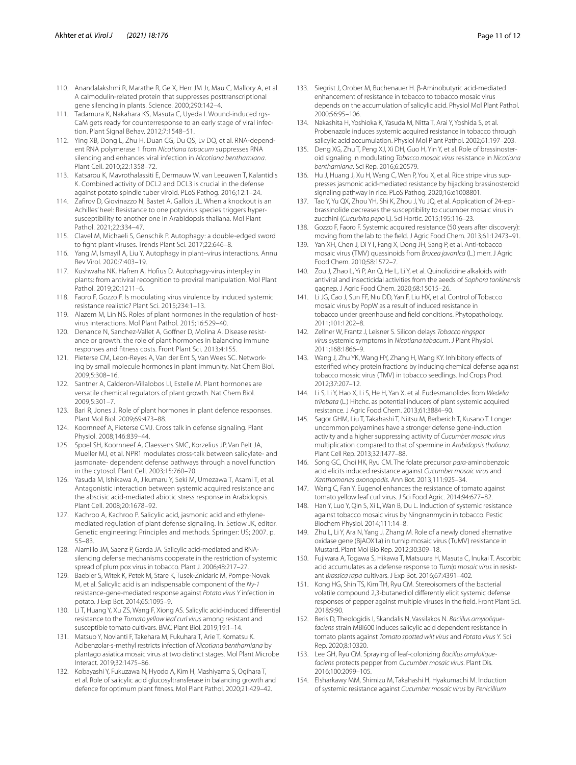- <span id="page-10-0"></span>110. Anandalakshmi R, Marathe R, Ge X, Herr JM Jr, Mau C, Mallory A, et al. A calmodulin-related protein that suppresses posttranscriptional gene silencing in plants. Science. 2000;290:142–4.
- <span id="page-10-1"></span>111. Tadamura K, Nakahara KS, Masuta C, Uyeda I. Wound-induced rgs-CaM gets ready for counterresponse to an early stage of viral infection. Plant Signal Behav. 2012;7:1548–51.
- <span id="page-10-2"></span>112. Ying XB, Dong L, Zhu H, Duan CG, Du QS, Lv DQ, et al. RNA-dependent RNA polymerase 1 from *Nicotiana tabacum* suppresses RNA silencing and enhances viral infection in *Nicotiana benthamiana*. Plant Cell. 2010;22:1358–72.
- <span id="page-10-3"></span>113. Katsarou K, Mavrothalassiti E, Dermauw W, van Leeuwen T, Kalantidis K. Combined activity of DCL2 and DCL3 is crucial in the defense against potato spindle tuber viroid. PLoS Pathog. 2016;12:1–24.
- <span id="page-10-4"></span>114. Zafrov D, Giovinazzo N, Bastet A, Gallois JL. When a knockout is an Achilles' heel: Resistance to one potyvirus species triggers hypersusceptibility to another one in Arabidopsis thaliana. Mol Plant Pathol. 2021;22:334–47.
- <span id="page-10-5"></span>115. Clavel M, Michaeli S, Genschik P. Autophagy: a double-edged sword to fight plant viruses. Trends Plant Sci. 2017;22:646-8.
- 116. Yang M, Ismayil A, Liu Y. Autophagy in plant–virus interactions. Annu Rev Virol. 2020;7:403–19.
- <span id="page-10-6"></span>117. Kushwaha NK, Hafren A, Hofus D. Autophagy-virus interplay in plants: from antiviral recognition to proviral manipulation. Mol Plant Pathol. 2019;20:1211–6.
- <span id="page-10-7"></span>118. Faoro F, Gozzo F. Is modulating virus virulence by induced systemic resistance realistic? Plant Sci. 2015;234:1–13.
- <span id="page-10-8"></span>119. Alazem M, Lin NS. Roles of plant hormones in the regulation of hostvirus interactions. Mol Plant Pathol. 2015;16:529–40.
- <span id="page-10-9"></span>120. Denance N, Sanchez-Vallet A, Goffner D, Molina A. Disease resistance or growth: the role of plant hormones in balancing immune responses and ftness costs. Front Plant Sci. 2013;4:155.
- 121. Pieterse CM, Leon-Reyes A, Van der Ent S, Van Wees SC. Networking by small molecule hormones in plant immunity. Nat Chem Biol. 2009;5:308–16.
- <span id="page-10-10"></span>122. Santner A, Calderon-Villalobos LI, Estelle M. Plant hormones are versatile chemical regulators of plant growth. Nat Chem Biol. 2009;5:301–7.
- <span id="page-10-11"></span>123. Bari R, Jones J. Role of plant hormones in plant defence responses. Plant Mol Biol. 2009;69:473–88.
- <span id="page-10-13"></span>124. Koornneef A, Pieterse CMJ. Cross talk in defense signaling. Plant Physiol. 2008;146:839–44.
- 125. Spoel SH, Koornneef A, Claessens SMC, Korzelius JP, Van Pelt JA, Mueller MJ, et al. NPR1 modulates cross-talk between salicylate- and jasmonate- dependent defense pathways through a novel function in the cytosol. Plant Cell. 2003;15:760–70.
- <span id="page-10-12"></span>126. Yasuda M, Ishikawa A, Jikumaru Y, Seki M, Umezawa T, Asami T, et al. Antagonistic interaction between systemic acquired resistance and the abscisic acid-mediated abiotic stress response in Arabidopsis. Plant Cell. 2008;20:1678–92.
- <span id="page-10-14"></span>127. Kachroo A, Kachroo P. Salicylic acid, jasmonic acid and ethylenemediated regulation of plant defense signaling. In: Setlow JK, editor. Genetic engineering: Principles and methods. Springer: US; 2007. p. 55–83.
- <span id="page-10-15"></span>128. Alamillo JM, Saenz P, Garcia JA. Salicylic acid-mediated and RNAsilencing defense mechanisms cooperate in the restriction of systemic spread of plum pox virus in tobacco. Plant J. 2006;48:217–27.
- <span id="page-10-16"></span>129. Baebler S, Witek K, Petek M, Stare K, Tusek-Znidaric M, Pompe-Novak M, et al. Salicylic acid is an indispensable component of the *Ny-1* resistance-gene-mediated response against *Potato virus Y* infection in potato. J Exp Bot. 2014;65:1095–9.
- <span id="page-10-17"></span>130. Li T, Huang Y, Xu ZS, Wang F, Xiong AS. Salicylic acid-induced diferential resistance to the *Tomato yellow leaf curl virus* among resistant and susceptible tomato cultivars. BMC Plant Biol. 2019;19:1–14.
- <span id="page-10-18"></span>131. Matsuo Y, Novianti F, Takehara M, Fukuhara T, Arie T, Komatsu K. Acibenzolar-s-methyl restricts infection of *Nicotiana benthamiana* by plantago asiatica mosaic virus at two distinct stages. Mol Plant Microbe Interact. 2019;32:1475–86.
- <span id="page-10-19"></span>132. Kobayashi Y, Fukuzawa N, Hyodo A, Kim H, Mashiyama S, Ogihara T, et al. Role of salicylic acid glucosyltransferase in balancing growth and defence for optimum plant ftness. Mol Plant Pathol. 2020;21:429–42.
- <span id="page-10-20"></span>133. Siegrist J, Orober M, Buchenauer H. β-Aminobutyric acid-mediated enhancement of resistance in tobacco to tobacco mosaic virus depends on the accumulation of salicylic acid. Physiol Mol Plant Pathol. 2000;56:95–106.
- <span id="page-10-21"></span>134. Nakashita H, Yoshioka K, Yasuda M, Nitta T, Arai Y, Yoshida S, et al. Probenazole induces systemic acquired resistance in tobacco through salicylic acid accumulation. Physiol Mol Plant Pathol. 2002;61:197–203.
- <span id="page-10-22"></span>135. Deng XG, Zhu T, Peng XJ, Xi DH, Guo H, Yin Y, et al. Role of brassinosteroid signaling in modulating *Tobacco mosaic virus* resistance in *Nicotiana benthamiana*. Sci Rep. 2016;6:20579.
- <span id="page-10-23"></span>136. Hu J, Huang J, Xu H, Wang C, Wen P, You X, et al. Rice stripe virus suppresses jasmonic acid-mediated resistance by hijacking brassinosteroid signaling pathway in rice. PLoS Pathog. 2020;16:e1008801.
- <span id="page-10-24"></span>137. Tao Y, Yu QX, Zhou YH, Shi K, Zhou J, Yu JQ, et al. Application of 24-epibrassinolide decreases the susceptibility to cucumber mosaic virus in zucchini (*Cucurbita pepo* L). Sci Hortic. 2015;195:116–23.
- <span id="page-10-25"></span>138. Gozzo F, Faoro F. Systemic acquired resistance (50 years after discovery): moving from the lab to the feld. J Agric Food Chem. 2013;61:12473–91.
- <span id="page-10-26"></span>139. Yan XH, Chen J, Di YT, Fang X, Dong JH, Sang P, et al. Anti-tobacco mosaic virus (TMV) quassinoids from *Brucea javanlca* (L.) merr. J Agric Food Chem. 2010;58:1572–7.
- <span id="page-10-27"></span>140. Zou J, Zhao L, Yi P, An Q, He L, Li Y, et al. Quinolizidine alkaloids with antiviral and insecticidal activities from the aeeds of *Sophora tonkinensis* gagnep. J Agric Food Chem. 2020;68:15015–26.
- <span id="page-10-28"></span>141. Li JG, Cao J, Sun FF, Niu DD, Yan F, Liu HX, et al. Control of Tobacco mosaic virus by PopW as a result of induced resistance in tobacco under greenhouse and feld conditions. Phytopathology. 2011;101:1202–8.
- <span id="page-10-29"></span>142. Zellner W, Frantz J, Leisner S. Silicon delays *Tobacco ringspot virus* systemic symptoms in *Nicotiana tabacum*. J Plant Physiol. 2011;168:1866–9.
- <span id="page-10-30"></span>143. Wang J, Zhu YK, Wang HY, Zhang H, Wang KY. Inhibitory effects of esterifed whey protein fractions by inducing chemical defense against tobacco mosaic virus (TMV) in tobacco seedlings. Ind Crops Prod. 2012;37:207–12.
- <span id="page-10-31"></span>144. Li S, Li Y, Hao X, Li S, He H, Yan X, et al. Eudesmanolides from *Wedelia trilobata* (L.) Hitchc. as potential inducers of plant systemic acquired resistance. J Agric Food Chem. 2013;61:3884–90.
- <span id="page-10-32"></span>145. Sagor GHM, Liu T, Takahashi T, Niitsu M, Berberich T, Kusano T. Longer uncommon polyamines have a stronger defense gene-induction activity and a higher suppressing activity of *Cucumber mosaic virus* multiplication compared to that of spermine in *Arabidopsis thaliana*. Plant Cell Rep. 2013;32:1477–88.
- <span id="page-10-33"></span>146. Song GC, Choi HK, Ryu CM. The folate precursor *para*-aminobenzoic acid elicits induced resistance against *Cucumber mosaic virus* and *Xanthomonas axonopodis*. Ann Bot. 2013;111:925–34.
- <span id="page-10-34"></span>147. Wang C, Fan Y. Eugenol enhances the resistance of tomato against tomato yellow leaf curl virus. J Sci Food Agric. 2014;94:677–82.
- <span id="page-10-35"></span>148. Han Y, Luo Y, Qin S, Xi L, Wan B, Du L. Induction of systemic resistance against tobacco mosaic virus by Ningnanmycin in tobacco. Pestic Biochem Physiol. 2014;111:14–8.
- <span id="page-10-36"></span>149. Zhu L, Li Y, Ara N, Yang J, Zhang M. Role of a newly cloned alternative oxidase gene (BjAOX1a) in turnip mosaic virus (TuMV) resistance in Mustard. Plant Mol Bio Rep. 2012;30:309–18.
- <span id="page-10-37"></span>150. Fujiwara A, Togawa S, Hikawa T, Matsuura H, Masuta C, Inukai T. Ascorbic acid accumulates as a defense response to *Turnip mosaic virus* in resistant *Brassica rapa* cultivars. J Exp Bot. 2016;67:4391–402.
- <span id="page-10-38"></span>151. Kong HG, Shin TS, Kim TH, Ryu CM. Stereoisomers of the bacterial volatile compound 2,3-butanediol diferently elicit systemic defense responses of pepper against multiple viruses in the feld. Front Plant Sci. 2018;9:90.
- <span id="page-10-39"></span>152. Beris D, Theologidis I, Skandalis N, Vassilakos N. *Bacillus amyloliquefaciens* strain MBI600 induces salicylic acid dependent resistance in tomato plants against *Tomato spotted wilt virus* and *Potato virus Y*. Sci Rep. 2020;8:10320.
- <span id="page-10-40"></span>153. Lee GH, Ryu CM. Spraying of leaf-colonizing *Bacillus amyloliquefaciens* protects pepper from *Cucumber mosaic virus*. Plant Dis. 2016;100:2099–105.
- <span id="page-10-41"></span>154. Elsharkawy MM, Shimizu M, Takahashi H, Hyakumachi M. Induction of systemic resistance against *Cucumber mosaic virus* by *Penicillium*